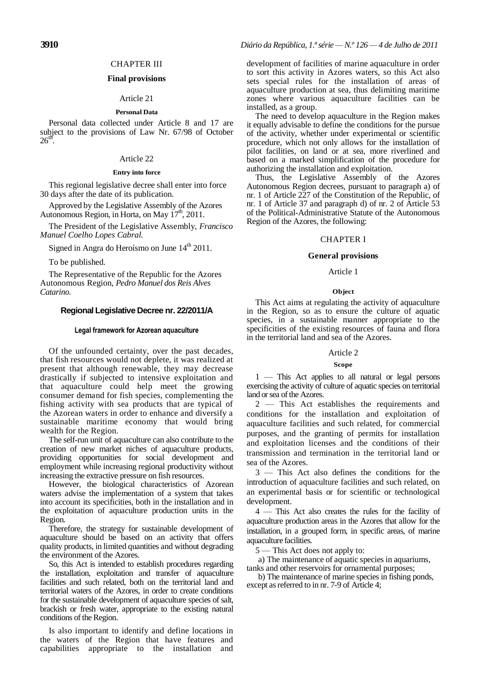# CHAPTER III

# **Final provisions**

# Article 21

# **Personal Data**

Personal data collected under Article 8 and 17 are subject to the provisions of Law Nr. 67/98 of October  $26<sup>th</sup>$ .

# Article 22

### **Entry into force**

This regional legislative decree shall enter into force 30 days after the date of its publication.

Approved by the Legislative Assembly of the Azores Autonomous Region, in Horta, on May  $17^{\text{th}}$ , 2011.

The President of the Legislative Assembly, *Francisco Manuel Coelho Lopes Cabral.*

Signed in Angra do Heroísmo on June 14<sup>th</sup> 2011.

To be published.

The Representative of the Republic for the Azores Autonomous Region, *Pedro Manuel dos Reis Alves Catarino.*

# **Regional Legislative Decree nr. 22/2011/A**

#### **Legal framework for Azorean aquaculture**

Of the unfounded certainty, over the past decades, that fish resources would not deplete, it was realized at present that although renewable, they may decrease drastically if subjected to intensive exploitation and that aquaculture could help meet the growing consumer demand for fish species, complementing the fishing activity with sea products that are typical of the Azorean waters in order to enhance and diversify a sustainable maritime economy that would bring wealth for the Region.

The self-run unit of aquaculture can also contribute to the creation of new market niches of aquaculture products, providing opportunities for social development and employment while increasing regional productivity without increasing the extractive pressure on fish resources.

However, the biological characteristics of Azorean waters advise the implementation of a system that takes into account its specificities, both in the installation and in the exploitation of aquaculture production units in the Region.

Therefore, the strategy for sustainable development of aquaculture should be based on an activity that offers quality products, in limited quantities and without degrading the environment of the Azores.

So, this Act is intended to establish procedures regarding the installation, exploitation and transfer of aquaculture facilities and such related, both on the territorial land and territorial waters of the Azores, in order to create conditions for the sustainable development of aquaculture species of salt, brackish or fresh water, appropriate to the existing natural conditions of the Region.

Is also important to identify and define locations in the waters of the Region that have features and capabilities appropriate to the installation and

development of facilities of marine aquaculture in order to sort this activity in Azores waters, so this Act also sets special rules for the installation of areas of aquaculture production at sea, thus delimiting maritime zones where various aquaculture facilities can be installed, as a group.

The need to develop aquaculture in the Region makes it equally advisable to define the conditions for the pursue of the activity, whether under experimental or scientific procedure, which not only allows for the installation of pilot facilities, on land or at sea, more riverlined and based on a marked simplification of the procedure for authorizing the installation and exploitation.

Thus, the Legislative Assembly of the Azores Autonomous Region decrees, pursuant to paragraph a) of nr. 1 of Article 227 of the Constitution of the Republic, of nr. 1 of Article 37 and paragraph d) of nr. 2 of Article 53 of the Political-Administrative Statute of the Autonomous Region of the Azores, the following:

## CHAPTER I

# **General provisions**

# Article 1

#### **Object**

This Act aims at regulating the activity of aquaculture in the Region, so as to ensure the culture of aquatic species, in a sustainable manner appropriate to the specificities of the existing resources of fauna and flora in the territorial land and sea of the Azores.

### Article 2

# **Scope**

1 — This Act applies to all natural or legal persons exercising the activity of culture of aquatic species on territorial land or sea of the Azores.

2 — This Act establishes the requirements and conditions for the installation and exploitation of aquaculture facilities and such related, for commercial purposes, and the granting of permits for installation and exploitation licenses and the conditions of their transmission and termination in the territorial land or sea of the Azores.

3 — This Act also defines the conditions for the introduction of aquaculture facilities and such related, on an experimental basis or for scientific or technological development.

4 — This Act also creates the rules for the facility of aquaculture production areas in the Azores that allow for the installation, in a grouped form, in specific areas, of marine aquaculture facilities.

5 — This Act does not apply to:

a) The maintenance of aquatic species in aquariums, tanks and other reservoirs for ornamental purposes;

b) The maintenance of marine species in fishing ponds, except as referred to in nr. 7-9 of Article 4;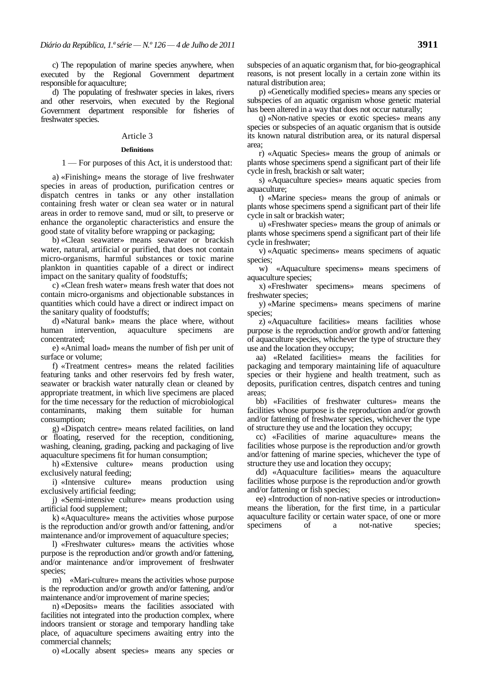c) The repopulation of marine species anywhere, when executed by the Regional Government department responsible for aquaculture;

d) The populating of freshwater species in lakes, rivers and other reservoirs, when executed by the Regional Government department responsible for fisheries of freshwater species.

# Article 3

# **Definitions**

# 1 — For purposes of this Act, it is understood that:

a) «Finishing» means the storage of live freshwater species in areas of production, purification centres or dispatch centres in tanks or any other installation containing fresh water or clean sea water or in natural areas in order to remove sand, mud or silt, to preserve or enhance the organoleptic characteristics and ensure the good state of vitality before wrapping or packaging;

b) «Clean seawater» means seawater or brackish water, natural, artificial or purified, that does not contain micro-organisms, harmful substances or toxic marine plankton in quantities capable of a direct or indirect impact on the sanitary quality of foodstuffs;

c) «Clean fresh water» means fresh water that does not contain micro-organisms and objectionable substances in quantities which could have a direct or indirect impact on the sanitary quality of foodstuffs;

d) «Natural bank» means the place where, without human intervention, aquaculture specimens are concentrated;

e) «Animal load» means the number of fish per unit of surface or volume;

f) «Treatment centres» means the related facilities featuring tanks and other reservoirs fed by fresh water, seawater or brackish water naturally clean or cleaned by appropriate treatment, in which live specimens are placed for the time necessary for the reduction of microbiological contaminants, making them suitable for human consumption;

g) «Dispatch centre» means related facilities, on land or floating, reserved for the reception, conditioning, washing, cleaning, grading, packing and packaging of live aquaculture specimens fit for human consumption;

h) «Extensive culture» means production using exclusively natural feeding;

i) «Intensive culture» means production using exclusively artificial feeding;

j) «Semi-intensive culture» means production using artificial food supplement;

k) «Aquaculture» means the activities whose purpose is the reproduction and/or growth and/or fattening, and/or maintenance and/or improvement of aquaculture species;

l) «Freshwater cultures» means the activities whose purpose is the reproduction and/or growth and/or fattening, and/or maintenance and/or improvement of freshwater species;

m) «Mari-culture» means the activities whose purpose is the reproduction and/or growth and/or fattening, and/or maintenance and/or improvement of marine species;

n) «Deposits» means the facilities associated with facilities not integrated into the production complex, where indoors transient or storage and temporary handling take place, of aquaculture specimens awaiting entry into the commercial channels;

o) «Locally absent species» means any species or

subspecies of an aquatic organism that, for bio-geographical reasons, is not present locally in a certain zone within its natural distribution area;

p) «Genetically modified species» means any species or subspecies of an aquatic organism whose genetic material has been altered in a way that does not occur naturally;

q) «Non-native species or exotic species» means any species or subspecies of an aquatic organism that is outside its known natural distribution area, or its natural dispersal area;

r) «Aquatic Species» means the group of animals or plants whose specimens spend a significant part of their life cycle in fresh, brackish or salt water;

s) «Aquaculture species» means aquatic species from aquaculture;

t) «Marine species» means the group of animals or plants whose specimens spend a significant part of their life cycle in salt or brackish water;

u) «Freshwater species» means the group of animals or plants whose specimens spend a significant part of their life cycle in freshwater;

v) «Aquatic specimens» means specimens of aquatic species;

w) «Aquaculture specimens» means specimens of aquaculture species;

x) «Freshwater specimens» means specimens of freshwater species;

y) «Marine specimens» means specimens of marine species;

z) «Aquaculture facilities» means facilities whose purpose is the reproduction and/or growth and/or fattening of aquaculture species, whichever the type of structure they use and the location they occupy;

aa) «Related facilities» means the facilities for packaging and temporary maintaining life of aquaculture species or their hygiene and health treatment, such as deposits, purification centres, dispatch centres and tuning areas;

bb) «Facilities of freshwater cultures» means the facilities whose purpose is the reproduction and/or growth and/or fattening of freshwater species, whichever the type of structure they use and the location they occupy;

cc) «Facilities of marine aquaculture» means the facilities whose purpose is the reproduction and/or growth and/or fattening of marine species, whichever the type of structure they use and location they occupy;

dd) «Aquaculture facilities» means the aquaculture facilities whose purpose is the reproduction and/or growth and/or fattening or fish species;

ee) «Introduction of non-native species or introduction» means the liberation, for the first time, in a particular aquaculture facility or certain water space, of one or more specimens of a not-native species;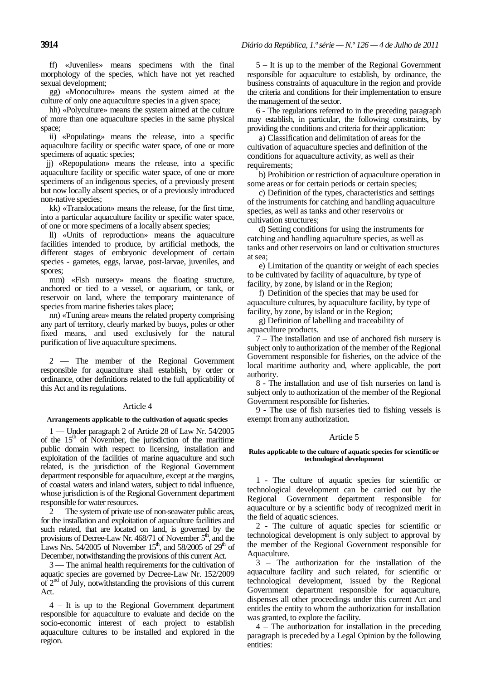ff) «Juveniles» means specimens with the final morphology of the species, which have not yet reached sexual development;

gg) «Monoculture» means the system aimed at the culture of only one aquaculture species in a given space;

hh) «Polyculture» means the system aimed at the culture of more than one aquaculture species in the same physical space;

ii) «Populating» means the release, into a specific aquaculture facility or specific water space, of one or more specimens of aquatic species;

 jj) «Repopulation» means the release, into a specific aquaculture facility or specific water space, of one or more specimens of an indigenous species, of a previously present but now locally absent species, or of a previously introduced non-native species;

kk) «Translocation» means the release, for the first time, into a particular aquaculture facility or specific water space, of one or more specimens of a locally absent species;

ll) «Units of reproduction» means the aquaculture facilities intended to produce, by artificial methods, the different stages of embryonic development of certain species - gametes, eggs, larvae, post-larvae, juveniles, and spores;

mm) «Fish nursery» means the floating structure, anchored or tied to a vessel, or aquarium, or tank, or reservoir on land, where the temporary maintenance of species from marine fisheries takes place;

nn) «Tuning area» means the related property comprising any part of territory, clearly marked by buoys, poles or other fixed means, and used exclusively for the natural purification of live aquaculture specimens.

2 — The member of the Regional Government responsible for aquaculture shall establish, by order or ordinance, other definitions related to the full applicability of this Act and its regulations.

# Article 4

# **Arrangements applicable to the cultivation of aquatic species**

1 — Under paragraph 2 of Article 28 of Law Nr. 54/2005 of the  $15<sup>th</sup>$  of November, the jurisdiction of the maritime public domain with respect to licensing, installation and exploitation of the facilities of marine aquaculture and such related, is the jurisdiction of the Regional Government department responsible for aquaculture, except at the margins, of coastal waters and inland waters, subject to tidal influence, whose jurisdiction is of the Regional Government department responsible for water resources.

2 — The system of private use of non-seawater public areas, for the installation and exploitation of aquaculture facilities and such related, that are located on land, is governed by the provisions of Decree-Law Nr. 468/71 of November  $5<sup>th</sup>$ , and the Laws Nrs. 54/2005 of November 15<sup>th</sup>, and 58/2005 of 29<sup>th</sup> of December, notwithstanding the provisions of this current Act.

3 — The animal health requirements for the cultivation of aquatic species are governed by Decree-Law Nr. 152/2009 of  $2<sup>nd</sup>$  of July, notwithstanding the provisions of this current Act.

4 – It is up to the Regional Government department responsible for aquaculture to evaluate and decide on the socio-economic interest of each project to establish aquaculture cultures to be installed and explored in the region.

5 – It is up to the member of the Regional Government responsible for aquaculture to establish, by ordinance, the business constraints of aquaculture in the region and provide the criteria and conditions for their implementation to ensure the management of the sector.

6 - The regulations referred to in the preceding paragraph may establish, in particular, the following constraints, by providing the conditions and criteria for their application:

a) Classification and delimitation of areas for the cultivation of aquaculture species and definition of the conditions for aquaculture activity, as well as their requirements;

b) Prohibition or restriction of aquaculture operation in some areas or for certain periods or certain species;

c) Definition of the types, characteristics and settings of the instruments for catching and handling aquaculture species, as well as tanks and other reservoirs or cultivation structures;

d) Setting conditions for using the instruments for catching and handling aquaculture species, as well as tanks and other reservoirs on land or cultivation structures at sea;

e) Limitation of the quantity or weight of each species to be cultivated by facility of aquaculture, by type of facility, by zone, by island or in the Region;

f) Definition of the species that may be used for aquaculture cultures, by aquaculture facility, by type of facility, by zone, by island or in the Region;

g) Definition of labelling and traceability of aquaculture products.

7 – The installation and use of anchored fish nursery is subject only to authorization of the member of the Regional Government responsible for fisheries, on the advice of the local maritime authority and, where applicable, the port authority.

8 - The installation and use of fish nurseries on land is subject only to authorization of the member of the Regional Government responsible for fisheries.

9 - The use of fish nurseries tied to fishing vessels is exempt from any authorization.

# Article 5

### **Rules applicable to the culture of aquatic species for scientific or technological development**

1 - The culture of aquatic species for scientific or technological development can be carried out by the Regional Government department responsible for aquaculture or by a scientific body of recognized merit in the field of aquatic sciences.

2 - The culture of aquatic species for scientific or technological development is only subject to approval by the member of the Regional Government responsible for Aquaculture.

3 – The authorization for the installation of the aquaculture facility and such related, for scientific or technological development, issued by the Regional Government department responsible for aquaculture, dispenses all other proceedings under this current Act and entitles the entity to whom the authorization for installation was granted, to explore the facility.

4 – The authorization for installation in the preceding paragraph is preceded by a Legal Opinion by the following entities: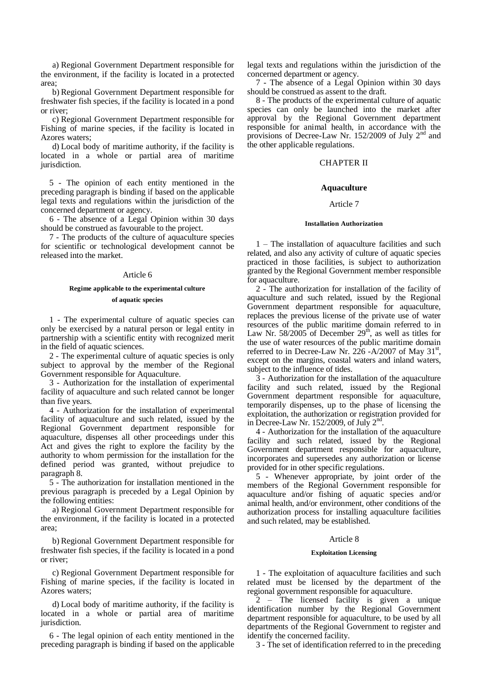a) Regional Government Department responsible for the environment, if the facility is located in a protected area;

b) Regional Government Department responsible for freshwater fish species, if the facility is located in a pond or river;

c) Regional Government Department responsible for Fishing of marine species, if the facility is located in Azores waters;

d) Local body of maritime authority, if the facility is located in a whole or partial area of maritime jurisdiction.

5 - The opinion of each entity mentioned in the preceding paragraph is binding if based on the applicable legal texts and regulations within the jurisdiction of the concerned department or agency.

6 - The absence of a Legal Opinion within 30 days should be construed as favourable to the project.

7 - The products of the culture of aquaculture species for scientific or technological development cannot be released into the market.

# Article 6

# **Regime applicable to the experimental culture**

# **of aquatic species**

1 - The experimental culture of aquatic species can only be exercised by a natural person or legal entity in partnership with a scientific entity with recognized merit in the field of aquatic sciences.

2 - The experimental culture of aquatic species is only subject to approval by the member of the Regional Government responsible for Aquaculture.

3 - Authorization for the installation of experimental facility of aquaculture and such related cannot be longer than five years.

4 - Authorization for the installation of experimental facility of aquaculture and such related, issued by the Regional Government department responsible for aquaculture, dispenses all other proceedings under this Act and gives the right to explore the facility by the authority to whom permission for the installation for the defined period was granted, without prejudice to paragraph 8.

5 - The authorization for installation mentioned in the previous paragraph is preceded by a Legal Opinion by the following entities:

a) Regional Government Department responsible for the environment, if the facility is located in a protected area;

b) Regional Government Department responsible for freshwater fish species, if the facility is located in a pond or river;

c) Regional Government Department responsible for Fishing of marine species, if the facility is located in Azores waters;

d) Local body of maritime authority, if the facility is located in a whole or partial area of maritime jurisdiction.

6 - The legal opinion of each entity mentioned in the preceding paragraph is binding if based on the applicable legal texts and regulations within the jurisdiction of the concerned department or agency.

7 - The absence of a Legal Opinion within 30 days should be construed as assent to the draft.

8 - The products of the experimental culture of aquatic species can only be launched into the market after approval by the Regional Government department responsible for animal health, in accordance with the provisions of Decree-Law Nr. 152/2009 of July  $2<sup>nd</sup>$  and the other applicable regulations.

# CHAPTER II

# **Aquaculture**

# Article 7

# **Installation Authorization**

1 – The installation of aquaculture facilities and such related, and also any activity of culture of aquatic species practiced in those facilities, is subject to authorization granted by the Regional Government member responsible for aquaculture.

2 - The authorization for installation of the facility of aquaculture and such related, issued by the Regional Government department responsible for aquaculture, replaces the previous license of the private use of water resources of the public maritime domain referred to in Law Nr.  $58/2005$  of December  $29<sup>th</sup>$ , as well as titles for the use of water resources of the public maritime domain referred to in Decree-Law Nr. 226 -A/2007 of May  $31<sup>st</sup>$ , except on the margins, coastal waters and inland waters, subject to the influence of tides.

3 - Authorization for the installation of the aquaculture facility and such related, issued by the Regional Government department responsible for aquaculture, temporarily dispenses, up to the phase of licensing the exploitation, the authorization or registration provided for in Decree-Law Nr. 152/2009, of July  $2<sup>nd</sup>$ .

4 - Authorization for the installation of the aquaculture facility and such related, issued by the Regional Government department responsible for aquaculture, incorporates and supersedes any authorization or license provided for in other specific regulations.

5 - Whenever appropriate, by joint order of the members of the Regional Government responsible for aquaculture and/or fishing of aquatic species and/or animal health, and/or environment, other conditions of the authorization process for installing aquaculture facilities and such related, may be established.

# Article 8

# **Exploitation Licensing**

1 - The exploitation of aquaculture facilities and such related must be licensed by the department of the regional government responsible for aquaculture.

2 – The licensed facility is given a unique identification number by the Regional Government department responsible for aquaculture, to be used by all departments of the Regional Government to register and identify the concerned facility.

3 - The set of identification referred to in the preceding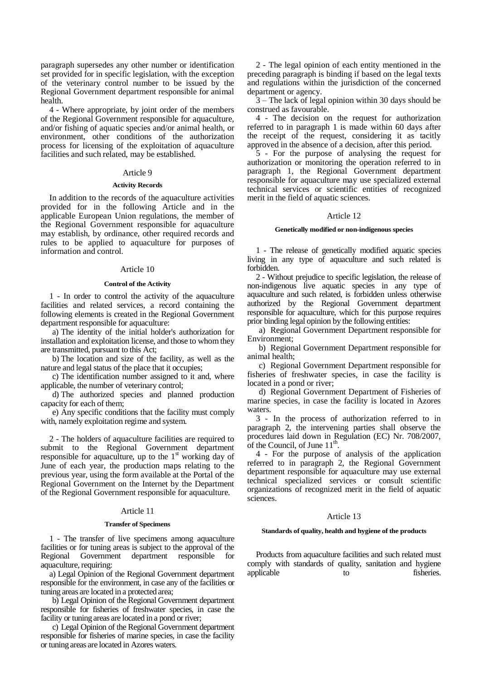paragraph supersedes any other number or identification set provided for in specific legislation, with the exception of the veterinary control number to be issued by the Regional Government department responsible for animal health.

4 - Where appropriate, by joint order of the members of the Regional Government responsible for aquaculture, and/or fishing of aquatic species and/or animal health, or environment, other conditions of the authorization process for licensing of the exploitation of aquaculture facilities and such related, may be established.

# Article 9

### **Activity Records**

In addition to the records of the aquaculture activities provided for in the following Article and in the applicable European Union regulations, the member of the Regional Government responsible for aquaculture may establish, by ordinance, other required records and rules to be applied to aquaculture for purposes of information and control.

### Article 10

### **Control of the Activity**

1 - In order to control the activity of the aquaculture facilities and related services, a record containing the following elements is created in the Regional Government department responsible for aquaculture:

a) The identity of the initial holder's authorization for installation and exploitation license, and those to whom they are transmitted, pursuant to this Act;

b) The location and size of the facility, as well as the nature and legal status of the place that it occupies;

c) The identification number assigned to it and, where applicable, the number of veterinary control;

d) The authorized species and planned production capacity for each of them;

e) Any specific conditions that the facility must comply with, namely exploitation regime and system.

2 - The holders of aquaculture facilities are required to submit to the Regional Government department responsible for aquaculture, up to the  $1<sup>st</sup>$  working day of June of each year, the production maps relating to the previous year, using the form available at the Portal of the Regional Government on the Internet by the Department of the Regional Government responsible for aquaculture.

# Article 11

## **Transfer of Specimens**

1 - The transfer of live specimens among aquaculture facilities or for tuning areas is subject to the approval of the Regional Government department responsible for aquaculture, requiring:

a) Legal Opinion of the Regional Government department responsible for the environment, in case any of the facilities or tuning areas are located in a protected area;

b) Legal Opinion of the Regional Government department responsible for fisheries of freshwater species, in case the facility or tuning areas are located in a pond or river;

c) Legal Opinion of the Regional Government department responsible for fisheries of marine species, in case the facility or tuning areas are located in Azores waters.

2 - The legal opinion of each entity mentioned in the preceding paragraph is binding if based on the legal texts and regulations within the jurisdiction of the concerned department or agency.

3 – The lack of legal opinion within 30 days should be construed as favourable.

4 - The decision on the request for authorization referred to in paragraph 1 is made within 60 days after the receipt of the request, considering it as tacitly approved in the absence of a decision, after this period.

5 - For the purpose of analysing the request for authorization or monitoring the operation referred to in paragraph 1, the Regional Government department responsible for aquaculture may use specialized external technical services or scientific entities of recognized merit in the field of aquatic sciences.

### Article 12

# **Genetically modified or non-indigenous species**

1 - The release of genetically modified aquatic species living in any type of aquaculture and such related is forbidden.

2 - Without prejudice to specific legislation, the release of non-indigenous live aquatic species in any type of aquaculture and such related, is forbidden unless otherwise authorized by the Regional Government department responsible for aquaculture, which for this purpose requires prior binding legal opinion by the following entities:

a) Regional Government Department responsible for Environment;

b) Regional Government Department responsible for animal health;

c) Regional Government Department responsible for fisheries of freshwater species, in case the facility is located in a pond or river;

d) Regional Government Department of Fisheries of marine species, in case the facility is located in Azores waters.

3 - In the process of authorization referred to in paragraph 2, the intervening parties shall observe the procedures laid down in Regulation (EC) Nr. 708/2007, of the Council, of June  $11^{\text{th}}$ .

4 - For the purpose of analysis of the application referred to in paragraph 2, the Regional Government department responsible for aquaculture may use external technical specialized services or consult scientific organizations of recognized merit in the field of aquatic sciences.

# Article 13

### **Standards of quality, health and hygiene of the products**

Products from aquaculture facilities and such related must comply with standards of quality, sanitation and hygiene applicable to fisheries.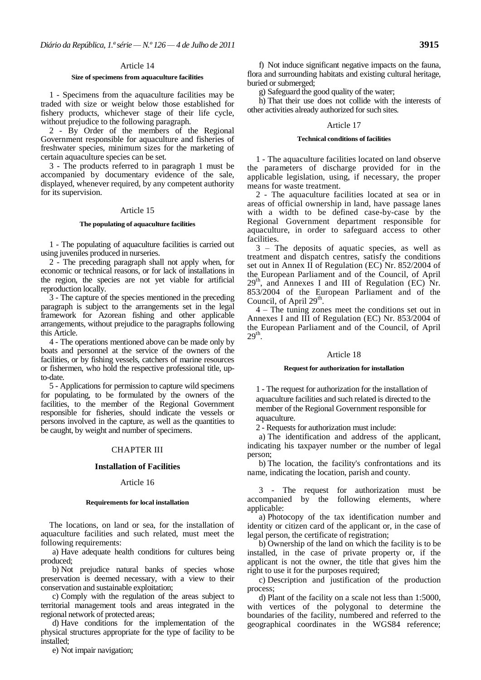# **Size of specimens from aquaculture facilities**

1 - Specimens from the aquaculture facilities may be traded with size or weight below those established for fishery products, whichever stage of their life cycle, without prejudice to the following paragraph.

2 - By Order of the members of the Regional Government responsible for aquaculture and fisheries of freshwater species, minimum sizes for the marketing of certain aquaculture species can be set.

3 - The products referred to in paragraph 1 must be accompanied by documentary evidence of the sale, displayed, whenever required, by any competent authority for its supervision.

#### Article 15

## **The populating of aquaculture facilities**

1 - The populating of aquaculture facilities is carried out using juveniles produced in nurseries.

2 - The preceding paragraph shall not apply when, for economic or technical reasons, or for lack of installations in the region, the species are not yet viable for artificial reproduction locally.

3 - The capture of the species mentioned in the preceding paragraph is subject to the arrangements set in the legal framework for Azorean fishing and other applicable arrangements, without prejudice to the paragraphs following this Article.

4 - The operations mentioned above can be made only by boats and personnel at the service of the owners of the facilities, or by fishing vessels, catchers of marine resources or fishermen, who hold the respective professional title, upto-date.

5 - Applications for permission to capture wild specimens for populating, to be formulated by the owners of the facilities, to the member of the Regional Government responsible for fisheries, should indicate the vessels or persons involved in the capture, as well as the quantities to be caught, by weight and number of specimens.

### CHAPTER III

### **Installation of Facilities**

# Article 16

#### **Requirements for local installation**

The locations, on land or sea, for the installation of aquaculture facilities and such related, must meet the following requirements:

a) Have adequate health conditions for cultures being produced;

b) Not prejudice natural banks of species whose preservation is deemed necessary, with a view to their conservation and sustainable exploitation;

c) Comply with the regulation of the areas subject to territorial management tools and areas integrated in the regional network of protected areas;

d) Have conditions for the implementation of the physical structures appropriate for the type of facility to be installed;

e) Not impair navigation;

f) Not induce significant negative impacts on the fauna, flora and surrounding habitats and existing cultural heritage, buried or submerged;

g) Safeguard the good quality of the water;

h) That their use does not collide with the interests of other activities already authorized for such sites.

### Article 17

# **Technical conditions of facilities**

1 - The aquaculture facilities located on land observe the parameters of discharge provided for in the applicable legislation, using, if necessary, the proper means for waste treatment.

2 - The aquaculture facilities located at sea or in areas of official ownership in land, have passage lanes with a width to be defined case-by-case by the Regional Government department responsible for aquaculture, in order to safeguard access to other facilities.

3 – The deposits of aquatic species, as well as treatment and dispatch centres, satisfy the conditions set out in Annex II of Regulation (EC) Nr. 852/2004 of the European Parliament and of the Council, of April  $29<sup>th</sup>$ , and Annexes I and III of Regulation (EC) Nr. 853/2004 of the European Parliament and of the Council, of April 29<sup>th</sup>.

4 – The tuning zones meet the conditions set out in Annexes I and III of Regulation (EC) Nr. 853/2004 of the European Parliament and of the Council, of April  $29<sup>th</sup>$ .

### Article 18

#### **Request for authorization for installation**

1 - The request for authorization for the installation of aquaculture facilities and such related is directed to the member of the Regional Government responsible for aquaculture.

2 - Requests for authorization must include:

a) The identification and address of the applicant, indicating his taxpayer number or the number of legal person;

b) The location, the facility's confrontations and its name, indicating the location, parish and county.

3 - The request for authorization must be accompanied by the following elements, where applicable:

a) Photocopy of the tax identification number and identity or citizen card of the applicant or, in the case of legal person, the certificate of registration;

b) Ownership of the land on which the facility is to be installed, in the case of private property or, if the applicant is not the owner, the title that gives him the right to use it for the purposes required;

c) Description and justification of the production process;

d) Plant of the facility on a scale not less than 1:5000, with vertices of the polygonal to determine the boundaries of the facility, numbered and referred to the geographical coordinates in the WGS84 reference;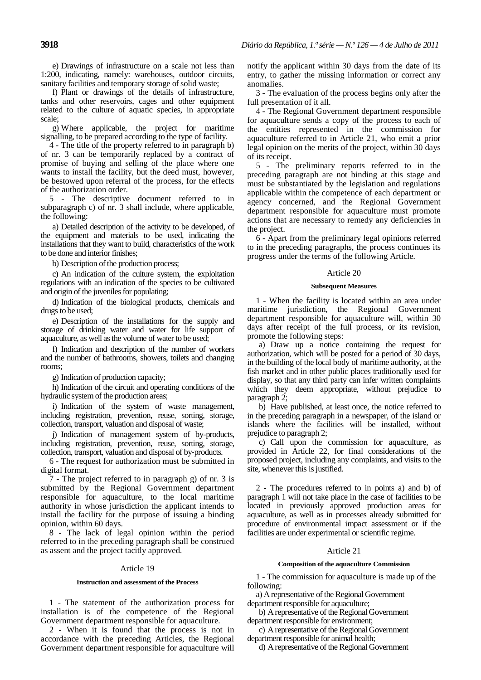e) Drawings of infrastructure on a scale not less than 1:200, indicating, namely: warehouses, outdoor circuits, sanitary facilities and temporary storage of solid waste;

f) Plant or drawings of the details of infrastructure, tanks and other reservoirs, cages and other equipment related to the culture of aquatic species, in appropriate scale;

g) Where applicable, the project for maritime signalling, to be prepared according to the type of facility.

4 - The title of the property referred to in paragraph b) of nr. 3 can be temporarily replaced by a contract of promise of buying and selling of the place where one wants to install the facility, but the deed must, however, be bestowed upon referral of the process, for the effects of the authorization order.

5 - The descriptive document referred to in subparagraph c) of nr. 3 shall include, where applicable, the following:

a) Detailed description of the activity to be developed, of the equipment and materials to be used, indicating the installations that they want to build, characteristics of the work to be done and interior finishes;

b) Description of the production process;

c) An indication of the culture system, the exploitation regulations with an indication of the species to be cultivated and origin of the juveniles for populating;

d) Indication of the biological products, chemicals and drugs to be used;

e) Description of the installations for the supply and storage of drinking water and water for life support of aquaculture, as well as the volume of water to be used;

f) Indication and description of the number of workers and the number of bathrooms, showers, toilets and changing rooms;

g) Indication of production capacity;

h) Indication of the circuit and operating conditions of the hydraulic system of the production areas;

i) Indication of the system of waste management, including registration, prevention, reuse, sorting, storage, collection, transport, valuation and disposal of waste;

j) Indication of management system of by-products, including registration, prevention, reuse, sorting, storage, collection, transport, valuation and disposal of by-products.

6 - The request for authorization must be submitted in digital format.

7 - The project referred to in paragraph g) of nr. 3 is submitted by the Regional Government department responsible for aquaculture, to the local maritime authority in whose jurisdiction the applicant intends to install the facility for the purpose of issuing a binding opinion, within 60 days.

8 - The lack of legal opinion within the period referred to in the preceding paragraph shall be construed as assent and the project tacitly approved.

# Article 19

# **Instruction and assessment of the Process**

1 - The statement of the authorization process for installation is of the competence of the Regional Government department responsible for aquaculture.

2 - When it is found that the process is not in accordance with the preceding Articles, the Regional Government department responsible for aquaculture will notify the applicant within 30 days from the date of its entry, to gather the missing information or correct any anomalies.

3 - The evaluation of the process begins only after the full presentation of it all.

4 - The Regional Government department responsible for aquaculture sends a copy of the process to each of the entities represented in the commission for aquaculture referred to in Article 21, who emit a prior legal opinion on the merits of the project, within 30 days of its receipt.

5 - The preliminary reports referred to in the preceding paragraph are not binding at this stage and must be substantiated by the legislation and regulations applicable within the competence of each department or agency concerned, and the Regional Government department responsible for aquaculture must promote actions that are necessary to remedy any deficiencies in the project.

6 - Apart from the preliminary legal opinions referred to in the preceding paragraphs, the process continues its progress under the terms of the following Article.

# Article 20

### **Subsequent Measures**

1 - When the facility is located within an area under maritime jurisdiction, the Regional Government department responsible for aquaculture will, within 30 days after receipt of the full process, or its revision, promote the following steps:

a) Draw up a notice containing the request for authorization, which will be posted for a period of 30 days, in the building of the local body of maritime authority, at the fish market and in other public places traditionally used for display, so that any third party can infer written complaints which they deem appropriate, without prejudice to paragraph 2;

b) Have published, at least once, the notice referred to in the preceding paragraph in a newspaper, of the island or islands where the facilities will be installed, without prejudice to paragraph 2;

c) Call upon the commission for aquaculture, as provided in Article 22, for final considerations of the proposed project, including any complaints, and visits to the site, whenever this is justified.

2 - The procedures referred to in points a) and b) of paragraph 1 will not take place in the case of facilities to be located in previously approved production areas for aquaculture, as well as in processes already submitted for procedure of environmental impact assessment or if the facilities are under experimental or scientific regime.

# Article 21

# **Composition of the aquaculture Commission**

1 - The commission for aquaculture is made up of the following:

a) A representative of the Regional Government department responsible for aquaculture;

b) A representative of the Regional Government department responsible for environment;

c) A representative of the Regional Government department responsible for animal health;

d) A representative of the Regional Government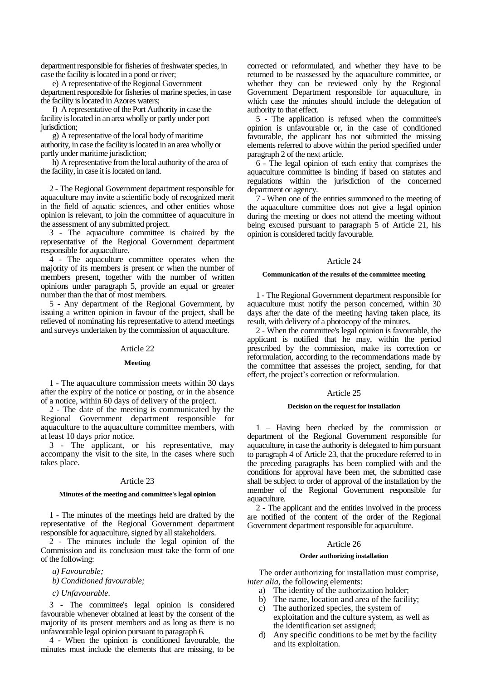department responsible for fisheries of freshwater species, in case the facility is located in a pond or river;

e) A representative of the Regional Government department responsible for fisheries of marine species, in case the facility is located in Azores waters;

f) A representative of the Port Authority in case the facility is located in an area wholly or partly under port jurisdiction;

g) A representative of the local body of maritime authority, in case the facility is located in an area wholly or partly under maritime jurisdiction;

h) A representative from the local authority of the area of the facility, in case it is located on land.

2 - The Regional Government department responsible for aquaculture may invite a scientific body of recognized merit in the field of aquatic sciences, and other entities whose opinion is relevant, to join the committee of aquaculture in the assessment of any submitted project.

3 - The aquaculture committee is chaired by the representative of the Regional Government department responsible for aquaculture.

4 - The aquaculture committee operates when the majority of its members is present or when the number of members present, together with the number of written opinions under paragraph 5, provide an equal or greater number than the that of most members.

5 - Any department of the Regional Government, by issuing a written opinion in favour of the project, shall be relieved of nominating his representative to attend meetings and surveys undertaken by the commission of aquaculture.

# Article 22

## **Meeting**

1 - The aquaculture commission meets within 30 days after the expiry of the notice or posting, or in the absence of a notice, within 60 days of delivery of the project.

2 - The date of the meeting is communicated by the Regional Government department responsible for aquaculture to the aquaculture committee members, with at least 10 days prior notice.

3 - The applicant, or his representative, may accompany the visit to the site, in the cases where such takes place.

# Article 23

## **Minutes of the meeting and committee's legal opinion**

1 - The minutes of the meetings held are drafted by the representative of the Regional Government department responsible for aquaculture, signed by all stakeholders.

2 - The minutes include the legal opinion of the Commission and its conclusion must take the form of one of the following:

*a) Favourable;*

*b) Conditioned favourable;*

*c) Unfavourable.*

3 - The committee's legal opinion is considered favourable whenever obtained at least by the consent of the majority of its present members and as long as there is no unfavourable legal opinion pursuant to paragraph 6.

4 - When the opinion is conditioned favourable, the minutes must include the elements that are missing, to be

corrected or reformulated, and whether they have to be returned to be reassessed by the aquaculture committee, or whether they can be reviewed only by the Regional Government Department responsible for aquaculture, in which case the minutes should include the delegation of authority to that effect.

5 - The application is refused when the committee's opinion is unfavourable or, in the case of conditioned favourable, the applicant has not submitted the missing elements referred to above within the period specified under paragraph 2 of the next article.

6 - The legal opinion of each entity that comprises the aquaculture committee is binding if based on statutes and regulations within the jurisdiction of the concerned department or agency.

7 - When one of the entities summoned to the meeting of the aquaculture committee does not give a legal opinion during the meeting or does not attend the meeting without being excused pursuant to paragraph 5 of Article 21, his opinion is considered tacitly favourable.

# Article 24

# **Communication of the results of the committee meeting**

1 - The Regional Government department responsible for aquaculture must notify the person concerned, within 30 days after the date of the meeting having taken place, its result, with delivery of a photocopy of the minutes.

2 - When the committee's legal opinion is favourable, the applicant is notified that he may, within the period prescribed by the commission, make its correction or reformulation, according to the recommendations made by the committee that assesses the project, sending, for that effect, the project's correction or reformulation.

# Article 25

## **Decision on the request for installation**

1 – Having been checked by the commission or department of the Regional Government responsible for aquaculture, in case the authority is delegated to him pursuant to paragraph 4 of Article 23, that the procedure referred to in the preceding paragraphs has been complied with and the conditions for approval have been met, the submitted case shall be subject to order of approval of the installation by the member of the Regional Government responsible for aquaculture.

2 - The applicant and the entities involved in the process are notified of the content of the order of the Regional Government department responsible for aquaculture.

# Article 26

### **Order authorizing installation**

The order authorizing for installation must comprise, *inter alia*, the following elements:

- a) The identity of the authorization holder;
- b) The name, location and area of the facility;
- c) The authorized species, the system of exploitation and the culture system, as well as the identification set assigned;
- d) Any specific conditions to be met by the facility and its exploitation.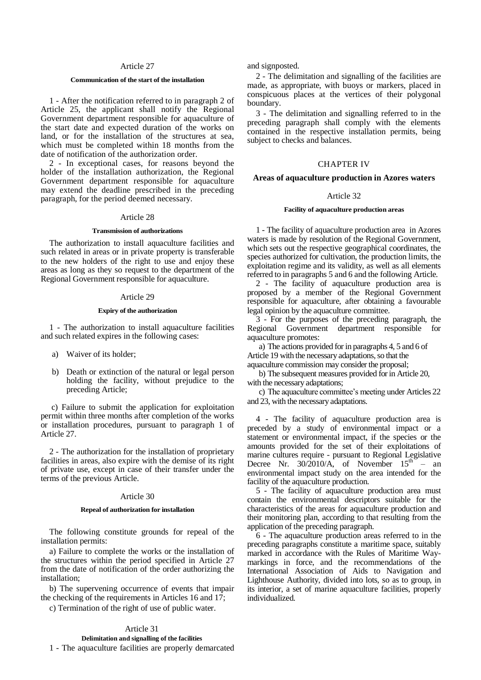### **Communication of the start of the installation**

1 - After the notification referred to in paragraph 2 of Article 25, the applicant shall notify the Regional Government department responsible for aquaculture of the start date and expected duration of the works on land, or for the installation of the structures at sea, which must be completed within 18 months from the date of notification of the authorization order.

2 - In exceptional cases, for reasons beyond the holder of the installation authorization, the Regional Government department responsible for aquaculture may extend the deadline prescribed in the preceding paragraph, for the period deemed necessary.

# Article 28

#### **Transmission of authorizations**

The authorization to install aquaculture facilities and such related in areas or in private property is transferable to the new holders of the right to use and enjoy these areas as long as they so request to the department of the Regional Government responsible for aquaculture.

### Article 29

# **Expiry of the authorization**

1 - The authorization to install aquaculture facilities and such related expires in the following cases:

- a) Waiver of its holder;
- b) Death or extinction of the natural or legal person holding the facility, without prejudice to the preceding Article;

c) Failure to submit the application for exploitation permit within three months after completion of the works or installation procedures, pursuant to paragraph 1 of Article 27.

2 - The authorization for the installation of proprietary facilities in areas, also expire with the demise of its right of private use, except in case of their transfer under the terms of the previous Article.

# Article 30

### **Repeal of authorization for installation**

The following constitute grounds for repeal of the installation permits:

a) Failure to complete the works or the installation of the structures within the period specified in Article 27 from the date of notification of the order authorizing the installation;

b) The supervening occurrence of events that impair the checking of the requirements in Articles 16 and 17;

c) Termination of the right of use of public water.

# Article 31

# **Delimitation and signalling of the facilities** 1 - The aquaculture facilities are properly demarcated

and signposted.

2 - The delimitation and signalling of the facilities are made, as appropriate, with buoys or markers, placed in conspicuous places at the vertices of their polygonal boundary.

3 - The delimitation and signalling referred to in the preceding paragraph shall comply with the elements contained in the respective installation permits, being subject to checks and balances.

## CHAPTER IV

# **Areas of aquaculture production in Azores waters**

## Article 32

## **Facility of aquaculture production areas**

1 - The facility of aquaculture production area in Azores waters is made by resolution of the Regional Government, which sets out the respective geographical coordinates, the species authorized for cultivation, the production limits, the exploitation regime and its validity, as well as all elements referred to in paragraphs 5 and 6 and the following Article.

2 - The facility of aquaculture production area is proposed by a member of the Regional Government responsible for aquaculture, after obtaining a favourable legal opinion by the aquaculture committee.

3 - For the purposes of the preceding paragraph, the Regional Government department responsible for aquaculture promotes:

a) The actions provided for in paragraphs 4, 5 and 6 of Article 19 with the necessary adaptations, so that the aquaculture commission may consider the proposal;

b) The subsequent measures provided for in Article 20, with the necessary adaptations;

c) The aquaculture committee's meeting under Articles 22 and 23, with the necessary adaptations.

4 - The facility of aquaculture production area is preceded by a study of environmental impact or a statement or environmental impact, if the species or the amounts provided for the set of their exploitations of marine cultures require - pursuant to Regional Legislative Decree Nr.  $30/2010/A$ , of November  $15^{th}$  – an environmental impact study on the area intended for the facility of the aquaculture production.

5 - The facility of aquaculture production area must contain the environmental descriptors suitable for the characteristics of the areas for aquaculture production and their monitoring plan, according to that resulting from the application of the preceding paragraph.

6 - The aquaculture production areas referred to in the preceding paragraphs constitute a maritime space, suitably marked in accordance with the Rules of Maritime Waymarkings in force, and the recommendations of the International Association of Aids to Navigation and Lighthouse Authority, divided into lots, so as to group, in its interior, a set of marine aquaculture facilities, properly individualized.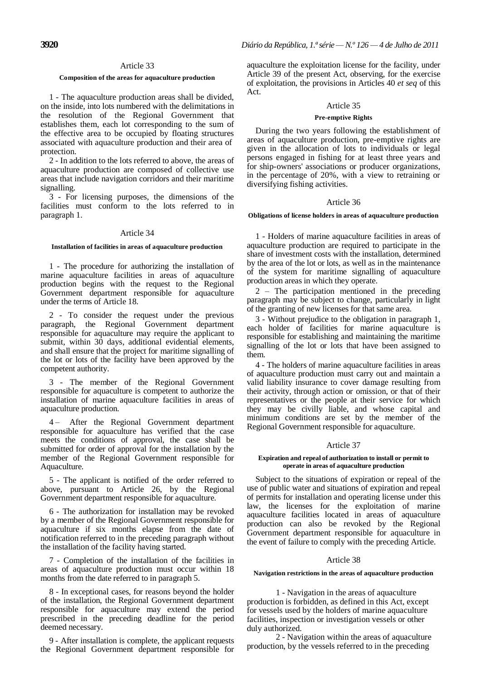### **Composition of the areas for aquaculture production**

1 - The aquaculture production areas shall be divided, on the inside, into lots numbered with the delimitations in the resolution of the Regional Government that establishes them, each lot corresponding to the sum of the effective area to be occupied by floating structures associated with aquaculture production and their area of protection.

2 - In addition to the lots referred to above, the areas of aquaculture production are composed of collective use areas that include navigation corridors and their maritime signalling.

3 - For licensing purposes, the dimensions of the facilities must conform to the lots referred to in paragraph 1.

### Article 34

# **Installation of facilities in areas of aquaculture production**

1 - The procedure for authorizing the installation of marine aquaculture facilities in areas of aquaculture production begins with the request to the Regional Government department responsible for aquaculture under the terms of Article 18.

2 - To consider the request under the previous paragraph, the Regional Government department responsible for aquaculture may require the applicant to submit, within 30 days, additional evidential elements, and shall ensure that the project for maritime signalling of the lot or lots of the facility have been approved by the competent authority.

3 - The member of the Regional Government responsible for aquaculture is competent to authorize the installation of marine aquaculture facilities in areas of aquaculture production.

4 – After the Regional Government department responsible for aquaculture has verified that the case meets the conditions of approval, the case shall be submitted for order of approval for the installation by the member of the Regional Government responsible for Aquaculture.

5 - The applicant is notified of the order referred to above, pursuant to Article 26, by the Regional Government department responsible for aquaculture.

6 - The authorization for installation may be revoked by a member of the Regional Government responsible for aquaculture if six months elapse from the date of notification referred to in the preceding paragraph without the installation of the facility having started.

7 - Completion of the installation of the facilities in areas of aquaculture production must occur within 18 months from the date referred to in paragraph 5.

8 - In exceptional cases, for reasons beyond the holder of the installation, the Regional Government department responsible for aquaculture may extend the period prescribed in the preceding deadline for the period deemed necessary.

9 - After installation is complete, the applicant requests the Regional Government department responsible for aquaculture the exploitation license for the facility, under Article 39 of the present Act, observing, for the exercise of exploitation, the provisions in Articles 40 *et seq* of this Act.

## Article 35

### **Pre-emptive Rights**

During the two years following the establishment of areas of aquaculture production, pre-emptive rights are given in the allocation of lots to individuals or legal persons engaged in fishing for at least three years and for ship-owners' associations or producer organizations, in the percentage of 20%, with a view to retraining or diversifying fishing activities.

## Article 36

# **Obligations of license holders in areas of aquaculture production**

1 - Holders of marine aquaculture facilities in areas of aquaculture production are required to participate in the share of investment costs with the installation, determined by the area of the lot or lots, as well as in the maintenance of the system for maritime signalling of aquaculture production areas in which they operate.

2 – The participation mentioned in the preceding paragraph may be subject to change, particularly in light of the granting of new licenses for that same area.

3 - Without prejudice to the obligation in paragraph 1, each holder of facilities for marine aquaculture is responsible for establishing and maintaining the maritime signalling of the lot or lots that have been assigned to them.

4 - The holders of marine aquaculture facilities in areas of aquaculture production must carry out and maintain a valid liability insurance to cover damage resulting from their activity, through action or omission, or that of their representatives or the people at their service for which they may be civilly liable, and whose capital and minimum conditions are set by the member of the Regional Government responsible for aquaculture.

# Article 37

### **Expiration and repeal of authorization to install or permit to operate in areas of aquaculture production**

Subject to the situations of expiration or repeal of the use of public water and situations of expiration and repeal of permits for installation and operating license under this law, the licenses for the exploitation of marine aquaculture facilities located in areas of aquaculture production can also be revoked by the Regional Government department responsible for aquaculture in the event of failure to comply with the preceding Article.

# Article 38

# **Navigation restrictions in the areas of aquaculture production**

1 - Navigation in the areas of aquaculture production is forbidden, as defined in this Act, except for vessels used by the holders of marine aquaculture facilities, inspection or investigation vessels or other duly authorized.

2 - Navigation within the areas of aquaculture production, by the vessels referred to in the preceding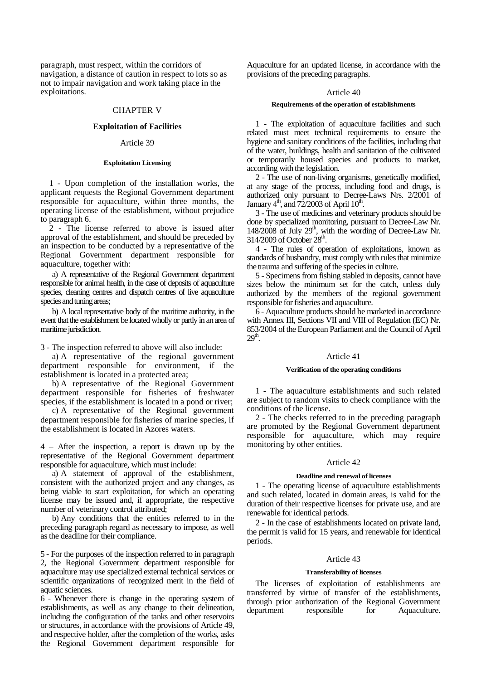paragraph, must respect, within the corridors of navigation, a distance of caution in respect to lots so as not to impair navigation and work taking place in the exploitations.

# CHAPTER V

# **Exploitation of Facilities**

# Article 39

## **Exploitation Licensing**

1 - Upon completion of the installation works, the applicant requests the Regional Government department responsible for aquaculture, within three months, the operating license of the establishment, without prejudice to paragraph 6.

2 - The license referred to above is issued after approval of the establishment, and should be preceded by an inspection to be conducted by a representative of the Regional Government department responsible for aquaculture, together with:

a) A representative of the Regional Government department responsible for animal health, in the case of deposits of aquaculture species, cleaning centres and dispatch centres of live aquaculture species and tuning areas;

b) A local representative body of the maritime authority, in the event that the establishment be located wholly or partly in an area of maritime jurisdiction.

3 - The inspection referred to above will also include:

a) A representative of the regional government department responsible for environment, if the establishment is located in a protected area;

b) A representative of the Regional Government department responsible for fisheries of freshwater species, if the establishment is located in a pond or river;

c) A representative of the Regional government department responsible for fisheries of marine species, if the establishment is located in Azores waters.

4 – After the inspection, a report is drawn up by the representative of the Regional Government department responsible for aquaculture, which must include:

a) A statement of approval of the establishment, consistent with the authorized project and any changes, as being viable to start exploitation, for which an operating license may be issued and, if appropriate, the respective number of veterinary control attributed;

b) Any conditions that the entities referred to in the preceding paragraph regard as necessary to impose, as well as the deadline for their compliance.

5 - For the purposes of the inspection referred to in paragraph 2, the Regional Government department responsible for aquaculture may use specialized external technical services or scientific organizations of recognized merit in the field of aquatic sciences.

6 - Whenever there is change in the operating system of establishments, as well as any change to their delineation, including the configuration of the tanks and other reservoirs or structures, in accordance with the provisions of Article 49, and respective holder, after the completion of the works, asks the Regional Government department responsible for

Aquaculture for an updated license, in accordance with the provisions of the preceding paragraphs.

# Article 40

# **Requirements of the operation of establishments**

1 - The exploitation of aquaculture facilities and such related must meet technical requirements to ensure the hygiene and sanitary conditions of the facilities, including that of the water, buildings, health and sanitation of the cultivated or temporarily housed species and products to market, according with the legislation.

2 - The use of non-living organisms, genetically modified, at any stage of the process, including food and drugs, is authorized only pursuant to Decree-Laws Nrs. 2/2001 of January  $4^{\text{th}}$ , and 72/2003 of April  $10^{\text{th}}$ .

3 - The use of medicines and veterinary products should be done by specialized monitoring, pursuant to Decree-Law Nr.  $148/2008$  of July  $29<sup>th</sup>$ , with the wording of Decree-Law Nr.  $314/2009$  of October  $28<sup>th</sup>$ .

4 - The rules of operation of exploitations, known as standards of husbandry, must comply with rules that minimize the trauma and suffering of the species in culture.

5 - Specimens from fishing stabled in deposits, cannot have sizes below the minimum set for the catch, unless duly authorized by the members of the regional government responsible for fisheries and aquaculture.

6 - Aquaculture products should be marketed in accordance with Annex III, Sections VII and VIII of Regulation (EC) Nr. 853/2004 of the European Parliament and the Council of April  $29<sup>th</sup>$ .

# Article 41

#### **Verification of the operating conditions**

1 - The aquaculture establishments and such related are subject to random visits to check compliance with the conditions of the license.

2 - The checks referred to in the preceding paragraph are promoted by the Regional Government department responsible for aquaculture, which may require monitoring by other entities.

# Article 42

### **Deadline and renewal of licenses**

1 - The operating license of aquaculture establishments and such related, located in domain areas, is valid for the duration of their respective licenses for private use, and are renewable for identical periods.

2 - In the case of establishments located on private land, the permit is valid for 15 years, and renewable for identical periods.

### Article 43

### **Transferability of licenses**

The licenses of exploitation of establishments are transferred by virtue of transfer of the establishments, through prior authorization of the Regional Government department responsible for Aquaculture.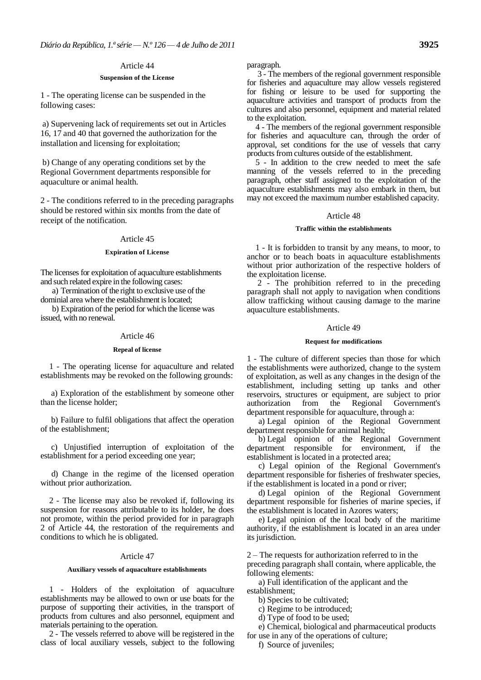# **Suspension of the License**

1 - The operating license can be suspended in the following cases:

a) Supervening lack of requirements set out in Articles 16, 17 and 40 that governed the authorization for the installation and licensing for exploitation;

b) Change of any operating conditions set by the Regional Government departments responsible for aquaculture or animal health.

2 - The conditions referred to in the preceding paragraphs should be restored within six months from the date of receipt of the notification.

# Article 45

# **Expiration of License**

The licenses for exploitation of aquaculture establishments and such related expire in the following cases:

a) Termination of the right to exclusive use of the dominial area where the establishment is located;

b) Expiration of the period for which the license was issued, with no renewal.

# Article 46

# **Repeal of license**

1 - The operating license for aquaculture and related establishments may be revoked on the following grounds:

a) Exploration of the establishment by someone other than the license holder;

b) Failure to fulfil obligations that affect the operation of the establishment;

c) Unjustified interruption of exploitation of the establishment for a period exceeding one year;

d) Change in the regime of the licensed operation without prior authorization.

2 - The license may also be revoked if, following its suspension for reasons attributable to its holder, he does not promote, within the period provided for in paragraph 2 of Article 44, the restoration of the requirements and conditions to which he is obligated.

# Article 47

# **Auxiliary vessels of aquaculture establishments**

1 - Holders of the exploitation of aquaculture establishments may be allowed to own or use boats for the purpose of supporting their activities, in the transport of products from cultures and also personnel, equipment and materials pertaining to the operation.

2 - The vessels referred to above will be registered in the class of local auxiliary vessels, subject to the following paragraph.

3 - The members of the regional government responsible for fisheries and aquaculture may allow vessels registered for fishing or leisure to be used for supporting the aquaculture activities and transport of products from the cultures and also personnel, equipment and material related to the exploitation.

4 - The members of the regional government responsible for fisheries and aquaculture can, through the order of approval, set conditions for the use of vessels that carry products from cultures outside of the establishment.

5 - In addition to the crew needed to meet the safe manning of the vessels referred to in the preceding paragraph, other staff assigned to the exploitation of the aquaculture establishments may also embark in them, but may not exceed the maximum number established capacity.

# Article 48

# **Traffic within the establishments**

1 - It is forbidden to transit by any means, to moor, to anchor or to beach boats in aquaculture establishments without prior authorization of the respective holders of the exploitation license.

2 - The prohibition referred to in the preceding paragraph shall not apply to navigation when conditions allow trafficking without causing damage to the marine aquaculture establishments.

# Article 49

## **Request for modifications**

1 - The culture of different species than those for which the establishments were authorized, change to the system of exploitation, as well as any changes in the design of the establishment, including setting up tanks and other reservoirs, structures or equipment, are subject to prior authorization from the Regional Government's department responsible for aquaculture, through a:

a) Legal opinion of the Regional Government department responsible for animal health;

b) Legal opinion of the Regional Government department responsible for environment, if the establishment is located in a protected area;

c) Legal opinion of the Regional Government's department responsible for fisheries of freshwater species, if the establishment is located in a pond or river;

d) Legal opinion of the Regional Government department responsible for fisheries of marine species, if the establishment is located in Azores waters;

e) Legal opinion of the local body of the maritime authority, if the establishment is located in an area under its jurisdiction.

2 – The requests for authorization referred to in the preceding paragraph shall contain, where applicable, the following elements:

a) Full identification of the applicant and the

establishment;

- b) Species to be cultivated;
- c) Regime to be introduced; d) Type of food to be used;
- 

e) Chemical, biological and pharmaceutical products for use in any of the operations of culture;

f) Source of juveniles;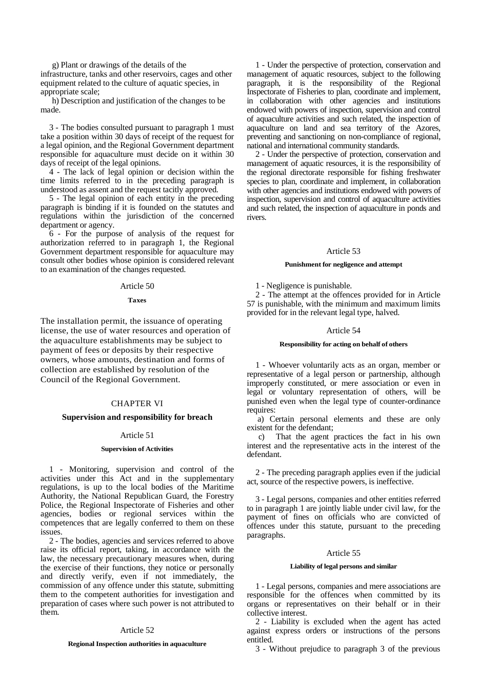g) Plant or drawings of the details of the infrastructure, tanks and other reservoirs, cages and other equipment related to the culture of aquatic species, in appropriate scale;

h) Description and justification of the changes to be made.

3 - The bodies consulted pursuant to paragraph 1 must take a position within 30 days of receipt of the request for a legal opinion, and the Regional Government department responsible for aquaculture must decide on it within 30 days of receipt of the legal opinions.

4 - The lack of legal opinion or decision within the time limits referred to in the preceding paragraph is understood as assent and the request tacitly approved.

5 - The legal opinion of each entity in the preceding paragraph is binding if it is founded on the statutes and regulations within the jurisdiction of the concerned department or agency.

6 - For the purpose of analysis of the request for authorization referred to in paragraph 1, the Regional Government department responsible for aquaculture may consult other bodies whose opinion is considered relevant to an examination of the changes requested.

# Article 50

### **Taxes**

The installation permit, the issuance of operating license, the use of water resources and operation of the aquaculture establishments may be subject to payment of fees or deposits by their respective owners, whose amounts, destination and forms of collection are established by resolution of the Council of the Regional Government.

# CHAPTER VI

# **Supervision and responsibility for breach**

# Article 51

### **Supervision of Activities**

1 - Monitoring, supervision and control of the activities under this Act and in the supplementary regulations, is up to the local bodies of the Maritime Authority, the National Republican Guard, the Forestry Police, the Regional Inspectorate of Fisheries and other agencies, bodies or regional services within the competences that are legally conferred to them on these issues.

2 - The bodies, agencies and services referred to above raise its official report, taking, in accordance with the law, the necessary precautionary measures when, during the exercise of their functions, they notice or personally and directly verify, even if not immediately, the commission of any offence under this statute, submitting them to the competent authorities for investigation and preparation of cases where such power is not attributed to them.

### Article 52

### **Regional Inspection authorities in aquaculture**

1 - Under the perspective of protection, conservation and management of aquatic resources, subject to the following paragraph, it is the responsibility of the Regional Inspectorate of Fisheries to plan, coordinate and implement, in collaboration with other agencies and institutions endowed with powers of inspection, supervision and control of aquaculture activities and such related, the inspection of aquaculture on land and sea territory of the Azores, preventing and sanctioning on non-compliance of regional, national and international community standards.

2 - Under the perspective of protection, conservation and management of aquatic resources, it is the responsibility of the regional directorate responsible for fishing freshwater species to plan, coordinate and implement, in collaboration with other agencies and institutions endowed with powers of inspection, supervision and control of aquaculture activities and such related, the inspection of aquaculture in ponds and rivers.

### Article 53

#### **Punishment for negligence and attempt**

1 - Negligence is punishable.

2 - The attempt at the offences provided for in Article 57 is punishable, with the minimum and maximum limits provided for in the relevant legal type, halved.

### Article 54

# **Responsibility for acting on behalf of others**

1 - Whoever voluntarily acts as an organ, member or representative of a legal person or partnership, although improperly constituted, or mere association or even in legal or voluntary representation of others, will be punished even when the legal type of counter-ordinance requires:

a) Certain personal elements and these are only existent for the defendant;

c) That the agent practices the fact in his own interest and the representative acts in the interest of the defendant.

2 - The preceding paragraph applies even if the judicial act, source of the respective powers, is ineffective.

3 - Legal persons, companies and other entities referred to in paragraph 1 are jointly liable under civil law, for the payment of fines on officials who are convicted of offences under this statute, pursuant to the preceding paragraphs.

### Article 55

#### **Liability of legal persons and similar**

1 - Legal persons, companies and mere associations are responsible for the offences when committed by its organs or representatives on their behalf or in their collective interest.

2 - Liability is excluded when the agent has acted against express orders or instructions of the persons entitled.

3 - Without prejudice to paragraph 3 of the previous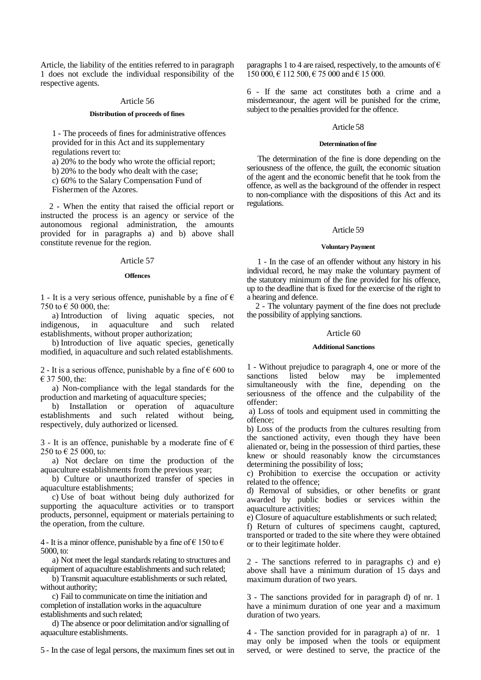Article, the liability of the entities referred to in paragraph 1 does not exclude the individual responsibility of the respective agents.

# Article 56

# **Distribution of proceeds of fines**

1 - The proceeds of fines for administrative offences provided for in this Act and its supplementary regulations revert to:

a) 20% to the body who wrote the official report;

b) 20% to the body who dealt with the case;

c) 60% to the Salary Compensation Fund of

Fishermen of the Azores.

2 - When the entity that raised the official report or instructed the process is an agency or service of the autonomous regional administration, the amounts provided for in paragraphs a) and b) above shall constitute revenue for the region.

# Article 57

# **Offences**

1 - It is a very serious offence, punishable by a fine of  $\epsilon$ 750 to  $\in$  50 000, the:

a) Introduction of living aquatic species, not indigenous, in aquaculture and such related establishments, without proper authorization;

b) Introduction of live aquatic species, genetically modified, in aquaculture and such related establishments.

2 - It is a serious offence, punishable by a fine of  $\epsilon$  600 to € 37 500, the:

a) Non-compliance with the legal standards for the production and marketing of aquaculture species;

b) Installation or operation of aquaculture establishments and such related without being, respectively, duly authorized or licensed.

3 - It is an offence, punishable by a moderate fine of  $\epsilon$ 250 to  $\in$  25 000, to:

a) Not declare on time the production of the aquaculture establishments from the previous year;

b) Culture or unauthorized transfer of species in aquaculture establishments;

c) Use of boat without being duly authorized for supporting the aquaculture activities or to transport products, personnel, equipment or materials pertaining to the operation, from the culture.

4 - It is a minor offence, punishable by a fine of  $\epsilon$  150 to  $\epsilon$ 5000, to:

a) Not meet the legal standards relating to structures and equipment of aquaculture establishments and such related;

b) Transmit aquaculture establishments or such related, without authority;

c) Fail to communicate on time the initiation and completion of installation works in the aquaculture establishments and such related;

d) The absence or poor delimitation and/or signalling of aquaculture establishments.

5 - In the case of legal persons, the maximum fines set out in

paragraphs 1 to 4 are raised, respectively, to the amounts of  $\epsilon$  $150\,000, \in 112\,500, \in 75\,000$  and  $\in 15\,000$ .

6 - If the same act constitutes both a crime and a misdemeanour, the agent will be punished for the crime, subject to the penalties provided for the offence.

# Article 58

## **Determination of fine**

The determination of the fine is done depending on the seriousness of the offence, the guilt, the economic situation of the agent and the economic benefit that he took from the offence, as well as the background of the offender in respect to non-compliance with the dispositions of this Act and its regulations.

# Article 59

# **Voluntary Payment**

1 - In the case of an offender without any history in his individual record, he may make the voluntary payment of the statutory minimum of the fine provided for his offence, up to the deadline that is fixed for the exercise of the right to a hearing and defence.

2 - The voluntary payment of the fine does not preclude the possibility of applying sanctions.

# Article 60

# **Additional Sanctions**

1 - Without prejudice to paragraph 4, one or more of the sanctions listed below may be implemented simultaneously with the fine, depending on the seriousness of the offence and the culpability of the offender:

a) Loss of tools and equipment used in committing the offence;

b) Loss of the products from the cultures resulting from the sanctioned activity, even though they have been alienated or, being in the possession of third parties, these knew or should reasonably know the circumstances determining the possibility of loss;

c) Prohibition to exercise the occupation or activity related to the offence;

d) Removal of subsidies, or other benefits or grant awarded by public bodies or services within the aquaculture activities;

e) Closure of aquaculture establishments or such related;

f) Return of cultures of specimens caught, captured, transported or traded to the site where they were obtained or to their legitimate holder.

2 - The sanctions referred to in paragraphs c) and e) above shall have a minimum duration of 15 days and maximum duration of two years.

3 - The sanctions provided for in paragraph d) of nr. 1 have a minimum duration of one year and a maximum duration of two years.

4 - The sanction provided for in paragraph a) of nr. 1 may only be imposed when the tools or equipment served, or were destined to serve, the practice of the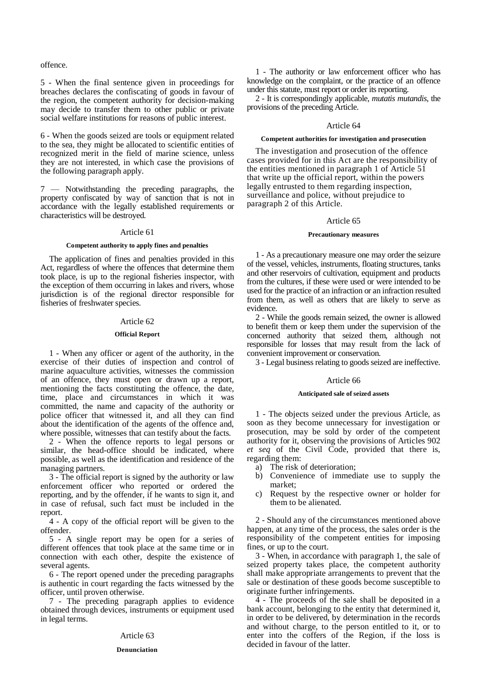# offence.

5 - When the final sentence given in proceedings for breaches declares the confiscating of goods in favour of the region, the competent authority for decision-making may decide to transfer them to other public or private social welfare institutions for reasons of public interest.

6 - When the goods seized are tools or equipment related to the sea, they might be allocated to scientific entities of recognized merit in the field of marine science, unless they are not interested, in which case the provisions of the following paragraph apply.

7 — Notwithstanding the preceding paragraphs, the property confiscated by way of sanction that is not in accordance with the legally established requirements or characteristics will be destroyed.

# Article 61

# **Competent authority to apply fines and penalties**

The application of fines and penalties provided in this Act, regardless of where the offences that determine them took place, is up to the regional fisheries inspector, with the exception of them occurring in lakes and rivers, whose jurisdiction is of the regional director responsible for fisheries of freshwater species.

### Article 62

# **Official Report**

1 - When any officer or agent of the authority, in the exercise of their duties of inspection and control of marine aquaculture activities, witnesses the commission of an offence, they must open or drawn up a report, mentioning the facts constituting the offence, the date, time, place and circumstances in which it was committed, the name and capacity of the authority or police officer that witnessed it, and all they can find about the identification of the agents of the offence and, where possible, witnesses that can testify about the facts.

2 - When the offence reports to legal persons or similar, the head-office should be indicated, where possible, as well as the identification and residence of the managing partners.

3 - The official report is signed by the authority or law enforcement officer who reported or ordered the reporting, and by the offender, if he wants to sign it, and in case of refusal, such fact must be included in the report.

4 - A copy of the official report will be given to the offender.

5 - A single report may be open for a series of different offences that took place at the same time or in connection with each other, despite the existence of several agents.

6 - The report opened under the preceding paragraphs is authentic in court regarding the facts witnessed by the officer, until proven otherwise.

7 - The preceding paragraph applies to evidence obtained through devices, instruments or equipment used in legal terms.

## Article 63

### **Denunciation**

1 - The authority or law enforcement officer who has knowledge on the complaint, or the practice of an offence under this statute, must report or order its reporting.

2 - It is correspondingly applicable, *mutatis mutandis*, the provisions of the preceding Article.

## Article 64

## **Competent authorities for investigation and prosecution**

The investigation and prosecution of the offence cases provided for in this Act are the responsibility of the entities mentioned in paragraph 1 of Article 51 that write up the official report, within the powers legally entrusted to them regarding inspection, surveillance and police, without prejudice to paragraph 2 of this Article.

## Article 65

### **Precautionary measures**

1 - As a precautionary measure one may order the seizure of the vessel, vehicles, instruments, floating structures, tanks and other reservoirs of cultivation, equipment and products from the cultures, if these were used or were intended to be used for the practice of an infraction or an infraction resulted from them, as well as others that are likely to serve as evidence.

2 - While the goods remain seized, the owner is allowed to benefit them or keep them under the supervision of the concerned authority that seized them, although not responsible for losses that may result from the lack of convenient improvement or conservation.

3 - Legal business relating to goods seized are ineffective.

# Article 66

### **Anticipated sale of seized assets**

1 - The objects seized under the previous Article, as soon as they become unnecessary for investigation or prosecution, may be sold by order of the competent authority for it, observing the provisions of Articles 902 *et seq* of the Civil Code, provided that there is, regarding them:

- a) The risk of deterioration;
- b) Convenience of immediate use to supply the market;
- c) Request by the respective owner or holder for them to be alienated.

2 - Should any of the circumstances mentioned above happen, at any time of the process, the sales order is the responsibility of the competent entities for imposing fines, or up to the court.

3 - When, in accordance with paragraph 1, the sale of seized property takes place, the competent authority shall make appropriate arrangements to prevent that the sale or destination of these goods become susceptible to originate further infringements.

4 - The proceeds of the sale shall be deposited in a bank account, belonging to the entity that determined it, in order to be delivered, by determination in the records and without charge, to the person entitled to it, or to enter into the coffers of the Region, if the loss is decided in favour of the latter.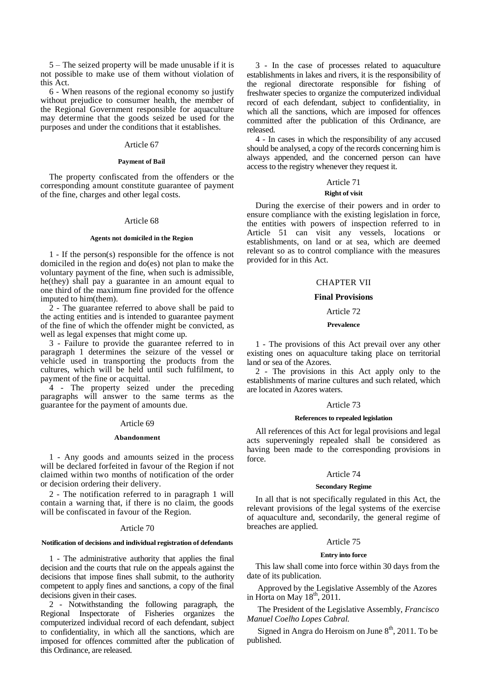5 – The seized property will be made unusable if it is not possible to make use of them without violation of this Act.

6 - When reasons of the regional economy so justify without prejudice to consumer health, the member of the Regional Government responsible for aquaculture may determine that the goods seized be used for the purposes and under the conditions that it establishes.

# Article 67

# **Payment of Bail**

The property confiscated from the offenders or the corresponding amount constitute guarantee of payment of the fine, charges and other legal costs.

# Article 68

# **Agents not domiciled in the Region**

1 - If the person(s) responsible for the offence is not domiciled in the region and do(es) not plan to make the voluntary payment of the fine, when such is admissible, he(they) shall pay a guarantee in an amount equal to one third of the maximum fine provided for the offence imputed to him(them).

2 - The guarantee referred to above shall be paid to the acting entities and is intended to guarantee payment of the fine of which the offender might be convicted, as well as legal expenses that might come up.

3 - Failure to provide the guarantee referred to in paragraph 1 determines the seizure of the vessel or vehicle used in transporting the products from the cultures, which will be held until such fulfilment, to payment of the fine or acquittal.

4 - The property seized under the preceding paragraphs will answer to the same terms as the guarantee for the payment of amounts due.

### Article 69

### **Abandonment**

1 - Any goods and amounts seized in the process will be declared forfeited in favour of the Region if not claimed within two months of notification of the order or decision ordering their delivery.

2 - The notification referred to in paragraph 1 will contain a warning that, if there is no claim, the goods will be confiscated in favour of the Region.

# Article 70

## **Notification of decisions and individual registration of defendants**

1 - The administrative authority that applies the final decision and the courts that rule on the appeals against the decisions that impose fines shall submit, to the authority competent to apply fines and sanctions, a copy of the final decisions given in their cases.

2 - Notwithstanding the following paragraph, the Regional Inspectorate of Fisheries organizes the computerized individual record of each defendant, subject to confidentiality, in which all the sanctions, which are imposed for offences committed after the publication of this Ordinance, are released.

3 - In the case of processes related to aquaculture establishments in lakes and rivers, it is the responsibility of the regional directorate responsible for fishing of freshwater species to organize the computerized individual record of each defendant, subject to confidentiality, in which all the sanctions, which are imposed for offences committed after the publication of this Ordinance, are released.

4 - In cases in which the responsibility of any accused should be analysed, a copy of the records concerning him is always appended, and the concerned person can have access to the registry whenever they request it.

# Article 71

# **Right of visit**

During the exercise of their powers and in order to ensure compliance with the existing legislation in force, the entities with powers of inspection referred to in Article 51 can visit any vessels, locations or establishments, on land or at sea, which are deemed relevant so as to control compliance with the measures provided for in this Act.

# CHAPTER VII

### **Final Provisions**

### Article 72

## **Prevalence**

1 - The provisions of this Act prevail over any other existing ones on aquaculture taking place on territorial land or sea of the Azores.

2 - The provisions in this Act apply only to the establishments of marine cultures and such related, which are located in Azores waters.

### Article 73

## **References to repealed legislation**

All references of this Act for legal provisions and legal acts superveningly repealed shall be considered as having been made to the corresponding provisions in force.

### Article 74

## **Secondary Regime**

In all that is not specifically regulated in this Act, the relevant provisions of the legal systems of the exercise of aquaculture and, secondarily, the general regime of breaches are applied.

### Article 75

### **Entry into force**

This law shall come into force within 30 days from the date of its publication.

Approved by the Legislative Assembly of the Azores in Horta on May  $18<sup>th</sup>$ , 2011.

The President of the Legislative Assembly, *Francisco Manuel Coelho Lopes Cabral.*

Signed in Angra do Heroism on June  $8<sup>th</sup>$ , 2011. To be published.